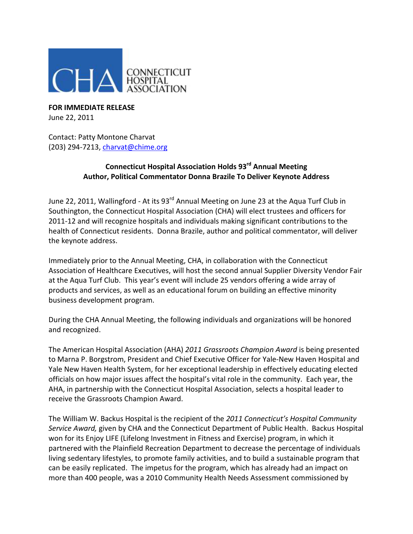

**FOR IMMEDIATE RELEASE** June 22, 2011

Contact: Patty Montone Charvat (203) 294-7213, [charvat@chime.org](mailto:charvat@chime.org)

## **Connecticut Hospital Association Holds 93rd Annual Meeting Author, Political Commentator Donna Brazile To Deliver Keynote Address**

June 22, 2011, Wallingford - At its 93<sup>rd</sup> Annual Meeting on June 23 at the Aqua Turf Club in Southington, the Connecticut Hospital Association (CHA) will elect trustees and officers for 2011-12 and will recognize hospitals and individuals making significant contributions to the health of Connecticut residents. Donna Brazile, author and political commentator, will deliver the keynote address.

Immediately prior to the Annual Meeting, CHA, in collaboration with the Connecticut Association of Healthcare Executives, will host the second annual Supplier Diversity Vendor Fair at the Aqua Turf Club. This year's event will include 25 vendors offering a wide array of products and services, as well as an educational forum on building an effective minority business development program.

During the CHA Annual Meeting, the following individuals and organizations will be honored and recognized.

The American Hospital Association (AHA) *2011 Grassroots Champion Award* is being presented to Marna P. Borgstrom, President and Chief Executive Officer for Yale-New Haven Hospital and Yale New Haven Health System, for her exceptional leadership in effectively educating elected officials on how major issues affect the hospital's vital role in the community. Each year, the AHA, in partnership with the Connecticut Hospital Association, selects a hospital leader to receive the Grassroots Champion Award.

The William W. Backus Hospital is the recipient of the *2011 Connecticut's Hospital Community Service Award,* given by CHA and the Connecticut Department of Public Health. Backus Hospital won for its Enjoy LIFE (Lifelong Investment in Fitness and Exercise) program, in which it partnered with the Plainfield Recreation Department to decrease the percentage of individuals living sedentary lifestyles, to promote family activities, and to build a sustainable program that can be easily replicated. The impetus for the program, which has already had an impact on more than 400 people, was a 2010 Community Health Needs Assessment commissioned by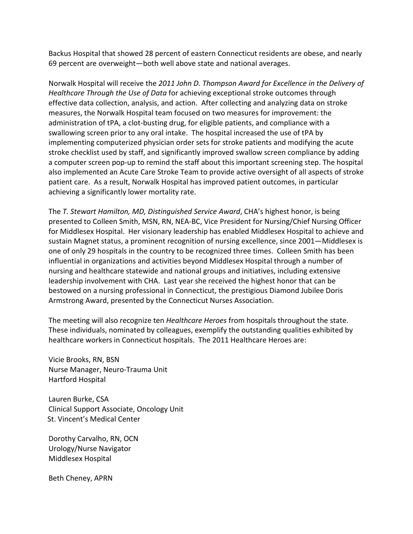Backus Hospital that showed 28 percent of eastern Connecticut residents are obese, and nearly 69 percent are overweight—both well above state and national averages.

Norwalk Hospital will receive the *2011 John D. Thompson Award for Excellence in the Delivery of Healthcare Through the Use of Data* for achieving exceptional stroke outcomes through effective data collection, analysis, and action. After collecting and analyzing data on stroke measures, the Norwalk Hospital team focused on two measures for improvement: the administration of tPA, a clot-busting drug, for eligible patients, and compliance with a swallowing screen prior to any oral intake. The hospital increased the use of tPA by implementing computerized physician order sets for stroke patients and modifying the acute stroke checklist used by staff, and significantly improved swallow screen compliance by adding a computer screen pop-up to remind the staff about this important screening step. The hospital also implemented an Acute Care Stroke Team to provide active oversight of all aspects of stroke patient care. As a result, Norwalk Hospital has improved patient outcomes, in particular achieving a significantly lower mortality rate.

The *T. Stewart Hamilton, MD, Distinguished Service Award*, CHA's highest honor, is being presented to Colleen Smith, MSN, RN, NEA-BC, Vice President for Nursing/Chief Nursing Officer for Middlesex Hospital. Her visionary leadership has enabled Middlesex Hospital to achieve and sustain Magnet status, a prominent recognition of nursing excellence, since 2001—Middlesex is one of only 29 hospitals in the country to be recognized three times. Colleen Smith has been influential in organizations and activities beyond Middlesex Hospital through a number of nursing and healthcare statewide and national groups and initiatives, including extensive leadership involvement with CHA. Last year she received the highest honor that can be bestowed on a nursing professional in Connecticut, the prestigious Diamond Jubilee Doris Armstrong Award, presented by the Connecticut Nurses Association.

The meeting will also recognize ten *Healthcare Heroes* from hospitals throughout the state. These individuals, nominated by colleagues, exemplify the outstanding qualities exhibited by healthcare workers in Connecticut hospitals. The 2011 Healthcare Heroes are:

Vicie Brooks, RN, BSN Nurse Manager, Neuro-Trauma Unit Hartford Hospital

Lauren Burke, CSA Clinical Support Associate, Oncology Unit St. Vincent's Medical Center

Dorothy Carvalho, RN, OCN Urology/Nurse Navigator Middlesex Hospital

Beth Cheney, APRN